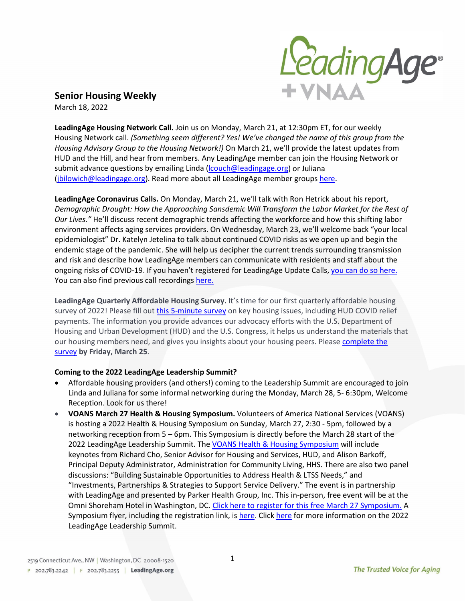

**Senior Housing Weekly** March 18, 2022

**LeadingAge Housing Network Call.** Join us on Monday, March 21, at 12:30pm ET, for our weekly Housing Network call. *(Something seem different? Yes! We've changed the name of this group from the Housing Advisory Group to the Housing Network!)* On March 21, we'll provide the latest updates from HUD and the Hill, and hear from members. Any LeadingAge member can join the Housing Network or submit advance questions by emailing Linda (*lcouch@leadingage.org*) or Juliana [\(jbilowich@leadingage.org\)](mailto:jbilowich@leadingage.org). Read more about all LeadingAge member groups [here.](https://leadingage.org/leadingage-member-groups?utm_source=LeadingAge&utm_campaign=856799abef-030922_Member+Newsletter&utm_medium=email&utm_term=0_4d92d1fd96-856799abef-613244533)

**LeadingAge Coronavirus Calls.** On Monday, March 21, we'll talk with Ron Hetrick about his report, *Demographic Drought: How the Approaching Sansdemic Will Transform the Labor Market for the Rest of Our Lives."* He'll discuss recent demographic trends affecting the workforce and how this shifting labor environment affects aging services providers. On Wednesday, March 23, we'll welcome back "your local epidemiologist" Dr. Katelyn Jetelina to talk about continued COVID risks as we open up and begin the endemic stage of the pandemic. She will help us decipher the current trends surrounding transmission and risk and describe how LeadingAge members can communicate with residents and staff about the ongoing risks of COVID-19. If you haven't registered for LeadingAge Update Calls, [you can do so here.](https://attendee.gotowebinar.com/register/2218416852977539339) You can also find previous call recordings [here.](https://leadingage.org/member-updates-archive)

**LeadingAge Quarterly Affordable Housing Survey.** It's time for our first quarterly affordable housing survey of 2022! Please fill out [this 5-minute](https://www.surveymonkey.com/r/29XWB8W) survey on key housing issues, including HUD COVID relief payments. The information you provide advances our advocacy efforts with the U.S. Department of Housing and Urban Development (HUD) and the U.S. Congress, it helps us understand the materials that our housing members need, and gives you insights about your housing peers. Please complete the [survey](https://www.surveymonkey.com/r/29XWB8W) **by Friday, March 25**.

## **Coming to the 2022 LeadingAge Leadership Summit?**

- Affordable housing providers (and others!) coming to the Leadership Summit are encouraged to join Linda and Juliana for some informal networking during the Monday, March 28, 5- 6:30pm, Welcome Reception. Look for us there!
- **VOANS March 27 Health & Housing Symposium.** Volunteers of America National Services (VOANS) is hosting a 2022 Health & Housing Symposium on Sunday, March 27, 2:30 - 5pm, followed by a networking reception from 5 – 6pm. This Symposium is directly before the March 28 start of the 2022 LeadingAge Leadership Summit. The [VOANS Health & Housing Symposium](https://leadingage.org/sites/default/files/2022%20Health%20%20Housing%20Symposium%20R7.pdf) will include keynotes from Richard Cho, Senior Advisor for Housing and Services, HUD, and Alison Barkoff, Principal Deputy Administrator, Administration for Community Living, HHS. There are also two panel discussions: "Building Sustainable Opportunities to Address Health & LTSS Needs," and "Investments, Partnerships & Strategies to Support Service Delivery." The event is in partnership with LeadingAge and presented by Parker Health Group, Inc. This in-person, free event will be at the Omni Shoreham Hotel in Washington, DC. Click here to register [for this free March 27 Symposium.](https://www.surveymonkey.com/r/652V5VQ) A Symposium flyer, including the registration link, is [here.](https://leadingage.org/sites/default/files/2022%20Health%20%20Housing%20Symposium%20R7.pdf) Click [here](https://www.leadingageleadershipsummit.org/register) for more information on the 2022 LeadingAge Leadership Summit.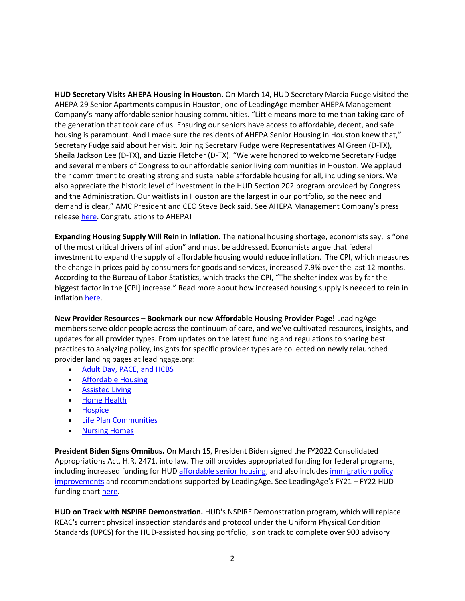**HUD Secretary Visits AHEPA Housing in Houston.** On March 14, HUD Secretary Marcia Fudge visited the AHEPA 29 Senior Apartments campus in Houston, one of LeadingAge member AHEPA Management Company's many affordable senior housing communities. "Little means more to me than taking care of the generation that took care of us. Ensuring our seniors have access to affordable, decent, and safe housing is paramount. And I made sure the residents of AHEPA Senior Housing in Houston knew that," Secretary Fudge said about her visit. Joining Secretary Fudge were Representatives Al Green (D-TX), Sheila Jackson Lee (D-TX), and Lizzie Fletcher (D-TX). "We were honored to welcome Secretary Fudge and several members of Congress to our affordable senior living communities in Houston. We applaud their commitment to creating strong and sustainable affordable housing for all, including seniors. We also appreciate the historic level of investment in the HUD Section 202 program provided by Congress and the Administration. Our waitlists in Houston are the largest in our portfolio, so the need and demand is clear," AMC President and CEO Steve Beck said. See AHEPA Management Company's press release [here.](https://ahepamgmt.com/hud-secretary-fudge-to-visit-ahepa-houston-communities/) Congratulations to AHEPA!

**Expanding Housing Supply Will Rein in Inflation.** The national housing shortage, economists say, is "one of the most critical drivers of inflation" and must be addressed. Economists argue that federal investment to expand the supply of affordable housing would reduce inflation. The CPI, which measures the change in prices paid by consumers for goods and services, increased 7.9% over the last 12 months. According to the Bureau of Labor Statistics, which tracks the CPI, "The shelter index was by far the biggest factor in the [CPI] increase." Read more about how increased housing supply is needed to rein in inflatio[n here.](https://leadingage.org/legislation/expanding-housing-supply-will-rein-inflation)

**New Provider Resources – Bookmark our new Affordable Housing Provider Page!** LeadingAge members serve older people across the continuum of care, and we've cultivated resources, insights, and updates for all provider types. From updates on the latest funding and regulations to sharing best practices to analyzing policy, insights for specific provider types are collected on newly relaunched provider landing pages at leadingage.org:

- [Adult Day, PACE, and HCBS](https://leadingage.org/adult-day-pace-and-hcbs?utm_source=LeadingAge&utm_campaign=aafe46c6e8-LNK-031422_COPY_01&utm_medium=email&utm_term=0_4d92d1fd96-aafe46c6e8-613244533)
- [Affordable Housing](https://leadingage.org/affordable-housing-1?utm_source=LeadingAge&utm_campaign=aafe46c6e8-LNK-031422_COPY_01&utm_medium=email&utm_term=0_4d92d1fd96-aafe46c6e8-613244533)
- [Assisted Living](https://leadingage.org/assisted-living-0?utm_source=LeadingAge&utm_campaign=aafe46c6e8-LNK-031422_COPY_01&utm_medium=email&utm_term=0_4d92d1fd96-aafe46c6e8-613244533)
- [Home Health](https://leadingage.org/home-health-1?utm_source=LeadingAge&utm_campaign=aafe46c6e8-LNK-031422_COPY_01&utm_medium=email&utm_term=0_4d92d1fd96-aafe46c6e8-613244533)
- [Hospice](https://leadingage.org/hospice-1?utm_source=LeadingAge&utm_campaign=aafe46c6e8-LNK-031422_COPY_01&utm_medium=email&utm_term=0_4d92d1fd96-aafe46c6e8-613244533)
- [Life Plan Communities](https://leadingage.org/life-plan-community?utm_source=LeadingAge&utm_campaign=aafe46c6e8-LNK-031422_COPY_01&utm_medium=email&utm_term=0_4d92d1fd96-aafe46c6e8-613244533)
- [Nursing Homes](https://leadingage.org/nursing-homes-0?utm_source=LeadingAge&utm_campaign=aafe46c6e8-LNK-031422_COPY_01&utm_medium=email&utm_term=0_4d92d1fd96-aafe46c6e8-613244533)

**President Biden Signs Omnibus.** On March 15, President Biden signed the FY2022 Consolidated Appropriations Act, H.R. 2471, into law. The bill provides appropriated funding for federal programs, including increased funding for HUD [affordable senior housing,](https://leadingage.org/legislation/largest-funding-new-section-202-homes-2010) and also includes immigration policy [improvements](https://leadingage.org/legislation/leadingage-immigration-priorities-addressed-omnibus-appropriations-bill) and recommendations supported by LeadingAge. See LeadingAge's FY21 – FY22 HUD funding chart [here.](https://leadingage.org/sites/default/files/chart%20HUD%20FY21%20FY22%20FY23%203%209%202022.pdf)

**HUD on Track with NSPIRE Demonstration.** HUD's NSPIRE Demonstration program, which will replace REAC's current physical inspection standards and protocol under the Uniform Physical Condition Standards (UPCS) for the HUD-assisted housing portfolio, is on track to complete over 900 advisory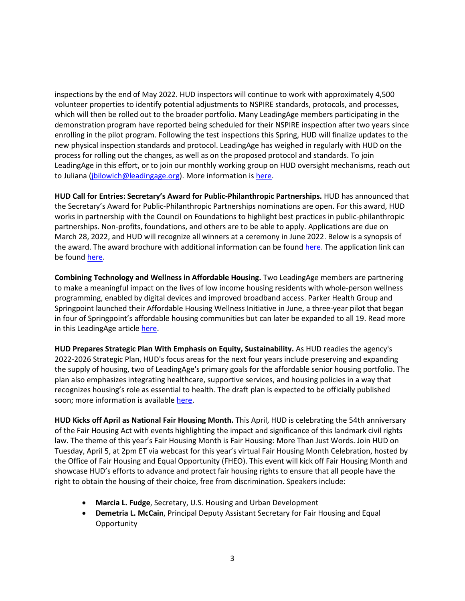inspections by the end of May 2022. HUD inspectors will continue to work with approximately 4,500 volunteer properties to identify potential adjustments to NSPIRE standards, protocols, and processes, which will then be rolled out to the broader portfolio. Many LeadingAge members participating in the demonstration program have reported being scheduled for their NSPIRE inspection after two years since enrolling in the pilot program. Following the test inspections this Spring, HUD will finalize updates to the new physical inspection standards and protocol. LeadingAge has weighed in regularly with HUD on the process for rolling out the changes, as well as on the proposed protocol and standards. To join LeadingAge in this effort, or to join our monthly working group on HUD oversight mechanisms, reach out to Juliana (*jbilowich@leadingage.org*). More information is [here.](https://leadingage.org/regulation/hud-ramps-nspire-demonstration)

**HUD Call for Entries: Secretary's Award for Public-Philanthropic Partnerships.** HUD has announced that the Secretary's Award for Public-Philanthropic Partnerships nominations are open. For this award, HUD works in partnership with the Council on Foundations to highlight best practices in public-philanthropic partnerships. Non-profits, foundations, and others are to be able to apply. Applications are due on March 28, 2022, and HUD will recognize all winners at a ceremony in June 2022. Below is a synopsis of the award. The award brochure with additional information can be found [here.](https://www.huduser.gov/portal/sites/default/files/pdf/HUD-Sec-Award-Public-Phil-Partnerships-brochure-2022.pdf) The application link can be foun[d here.](https://www.huduser.gov/portal/about/Pub_Phil_2022_Intro.html)

**Combining Technology and Wellness in Affordable Housing.** Two LeadingAge members are partnering to make a meaningful impact on the lives of low income housing residents with whole-person wellness programming, enabled by digital devices and improved broadband access. Parker Health Group and Springpoint launched their Affordable Housing Wellness Initiative in June, a three-year pilot that began in four of Springpoint's affordable housing communities but can later be expanded to all 19. Read more in this LeadingAge article [here.](https://leadingage.org/members/combining-technology-and-wellness-affordable-housing)

**HUD Prepares Strategic Plan With Emphasis on Equity, Sustainability.** As HUD readies the agency's 2022-2026 Strategic Plan, HUD's focus areas for the next four years include preserving and expanding the supply of housing, two of LeadingAge's primary goals for the affordable senior housing portfolio. The plan also emphasizes integrating healthcare, supportive services, and housing policies in a way that recognizes housing's role as essential to health. The draft plan is expected to be officially published soon; more information is available [here.](https://leadingage.org/regulation/hud-prepares-strategic-plan-emphasis-equity-sustainability)

**HUD Kicks off April as National Fair Housing Month.** This April, HUD is celebrating the 54th anniversary of the Fair Housing Act with events highlighting the impact and significance of this landmark civil rights law. The theme of this year's Fair Housing Month is Fair Housing: More Than Just Words. Join HUD on Tuesday, April 5, at 2pm ET via webcast for this year's virtual Fair Housing Month Celebration, hosted by the Office of Fair Housing and Equal Opportunity (FHEO). This event will kick off Fair Housing Month and showcase HUD's efforts to advance and protect fair housing rights to ensure that all people have the right to obtain the housing of their choice, free from discrimination. Speakers include:

- **Marcia L. Fudge**, Secretary, U.S. Housing and Urban Development
- **Demetria L. McCain**, Principal Deputy Assistant Secretary for Fair Housing and Equal **Opportunity**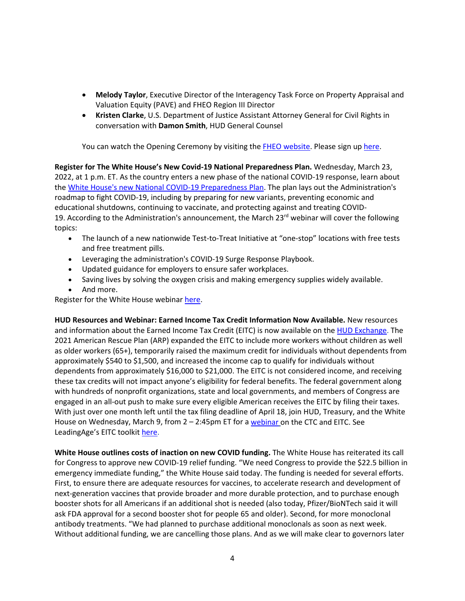- **Melody Taylor**, Executive Director of the Interagency Task Force on Property Appraisal and Valuation Equity (PAVE) and FHEO Region III Director
- **Kristen Clarke**, U.S. Department of Justice Assistant Attorney General for Civil Rights in conversation with **Damon Smith**, HUD General Counsel

You can watch the Opening Ceremony by visiting the [FHEO website.](https://www.hud.gov/fairhousing) Please sign up [here.](https://apps.hud.gov/emarc/index.cfm?fuseaction=emar.addRegisterEvent&eventId=4195&update=N)

**Register for The White House's New Covid-19 National Preparedness Plan.** Wednesday, March 23, 2022, at 1 p.m. ET. As the country enters a new phase of the national COVID-19 response, learn about the [White House's new National COVID-19 Preparedness Plan.](https://www.whitehouse.gov/covidplan) The plan lays out the Administration's roadmap to fight COVID-19, including by preparing for new variants, preventing economic and educational shutdowns, continuing to vaccinate, and protecting against and treating COVID-19. According to the Administration's announcement, the March 23 $rd$  webinar will cover the following topics:

- The launch of a new nationwide Test-to-Treat Initiative at "one-stop" locations with free tests and free treatment pills.
- Leveraging the administration's COVID-19 Surge Response Playbook.
- Updated guidance for employers to ensure safer workplaces.
- Saving lives by solving the oxygen crisis and making emergency supplies widely available.
- And more.

Register for the White House webinar [here.](https://ems8.intellor.com/?do=register&p=843014&s=bulletin&t=1)

**HUD Resources and Webinar: Earned Income Tax Credit Information Now Available.** New resources and information about the Earned Income Tax Credit (EITC) is now available on the [HUD Exchange.](https://www.hudexchange.info/programs/tax-credits-for-individuals/) The 2021 American Rescue Plan (ARP) expanded the EITC to include more workers without children as well as older workers (65+), temporarily raised the maximum credit for individuals without dependents from approximately \$540 to \$1,500, and increased the income cap to qualify for individuals without dependents from approximately \$16,000 to \$21,000. The EITC is not considered income, and receiving these tax credits will not impact anyone's eligibility for federal benefits. The federal government along with hundreds of nonprofit organizations, state and local governments, and members of Congress are engaged in an all-out push to make sure every eligible American receives the EITC by filing their taxes. With just over one month left until the tax filing deadline of April 18, join HUD, Treasury, and the White House on Wednesday, March 9, from 2 – 2:45pm ET for a [webinar](https://pitc.zoomgov.com/j/1608660505?pwd=SDRYYi81U3ZSYVdXNDQ1YTNpRGVYQT09&) on the CTC and EITC. See LeadingAge's EITC toolki[t here.](https://leadingage.org/sites/default/files/EITC%20overview%20and%20toolkit.pdf)

**White House outlines costs of inaction on new COVID funding.** The White House has reiterated its call for Congress to approve new COVID-19 relief funding. "We need Congress to provide the \$22.5 billion in emergency immediate funding," the White House said today. The funding is needed for several efforts. First, to ensure there are adequate resources for vaccines, to accelerate research and development of next-generation vaccines that provide broader and more durable protection, and to purchase enough booster shots for all Americans if an additional shot is needed (also today, Pfizer/BioNTech said it will ask FDA approval for a second booster shot for people 65 and older). Second, for more monoclonal antibody treatments. "We had planned to purchase additional monoclonals as soon as next week. Without additional funding, we are cancelling those plans. And as we will make clear to governors later